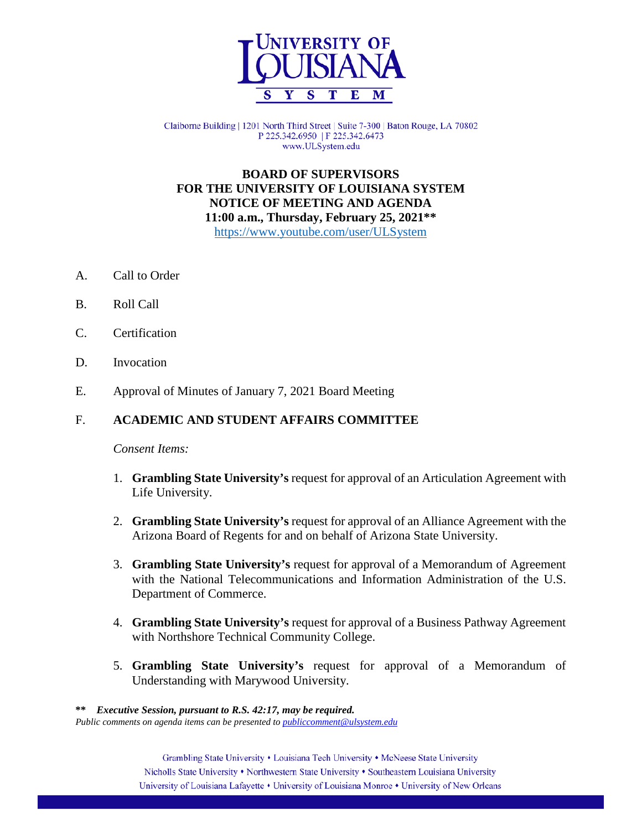

Claiborne Building | 1201 North Third Street | Suite 7-300 | Baton Rouge, LA 70802 P 225.342.6950 | F 225.342.6473 www.ULSystem.edu

 **BOARD OF SUPERVISORS FOR THE UNIVERSITY OF LOUISIANA SYSTEM NOTICE OF MEETING AND AGENDA 11:00 a.m., Thursday, February 25, 2021\*\*** <https://www.youtube.com/user/ULSystem>

- A. Call to Order
- B. Roll Call
- C. Certification
- D. Invocation
- E. Approval of Minutes of January 7, 2021 Board Meeting

### F. **ACADEMIC AND STUDENT AFFAIRS COMMITTEE**

#### *Consent Items:*

- 1. **Grambling State University's** request for approval of an Articulation Agreement with Life University.
- 2. **Grambling State University's** request for approval of an Alliance Agreement with the Arizona Board of Regents for and on behalf of Arizona State University.
- 3. **Grambling State University's** request for approval of a Memorandum of Agreement with the National Telecommunications and Information Administration of the U.S. Department of Commerce.
- 4. **Grambling State University's** request for approval of a Business Pathway Agreement with Northshore Technical Community College.
- 5. **Grambling State University's** request for approval of a Memorandum of Understanding with Marywood University.

#### **\*\*** *Executive Session, pursuant to R.S. 42:17, may be required. Public comments on agenda items can be presented t[o publiccomment@ulsystem.edu](mailto:publiccomment@ulsystem.edu)*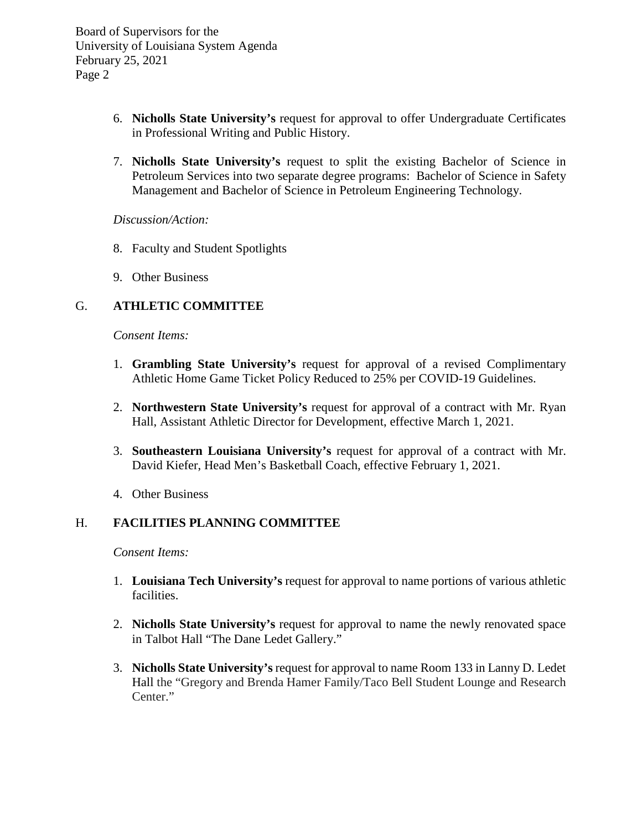- 6. **Nicholls State University's** request for approval to offer Undergraduate Certificates in Professional Writing and Public History.
- 7. **Nicholls State University's** request to split the existing Bachelor of Science in Petroleum Services into two separate degree programs: Bachelor of Science in Safety Management and Bachelor of Science in Petroleum Engineering Technology.

*Discussion/Action:*

- 8. Faculty and Student Spotlights
- 9. Other Business

# G. **ATHLETIC COMMITTEE**

*Consent Items:*

- 1. **Grambling State University's** request for approval of a revised Complimentary Athletic Home Game Ticket Policy Reduced to 25% per COVID-19 Guidelines.
- 2. **Northwestern State University's** request for approval of a contract with Mr. Ryan Hall, Assistant Athletic Director for Development, effective March 1, 2021.
- 3. **Southeastern Louisiana University's** request for approval of a contract with Mr. David Kiefer, Head Men's Basketball Coach, effective February 1, 2021.
- 4. Other Business

### H. **FACILITIES PLANNING COMMITTEE**

*Consent Items:*

- 1. **Louisiana Tech University's** request for approval to name portions of various athletic facilities.
- 2. **Nicholls State University's** request for approval to name the newly renovated space in Talbot Hall "The Dane Ledet Gallery."
- 3. **Nicholls State University's** request for approval to name Room 133 in Lanny D. Ledet Hall the "Gregory and Brenda Hamer Family/Taco Bell Student Lounge and Research Center."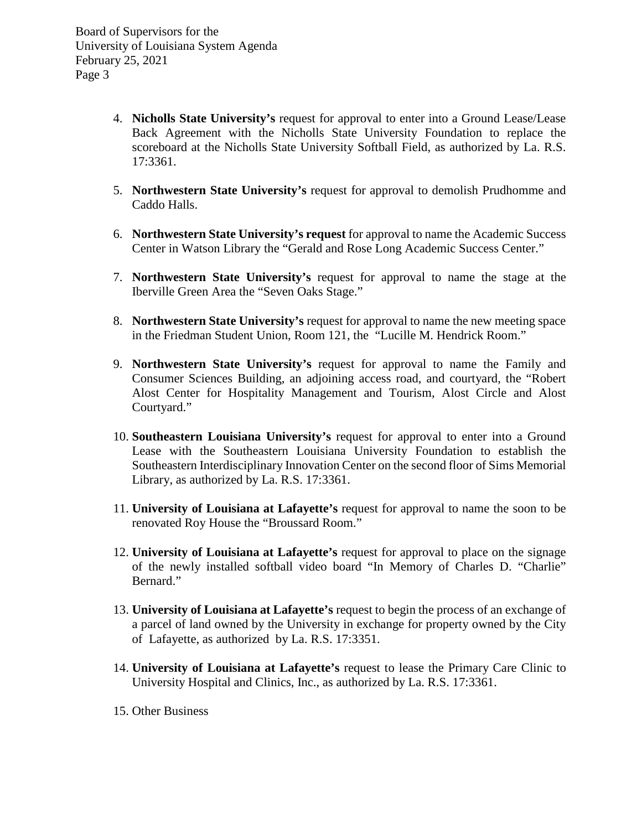- 4. **Nicholls State University's** request for approval to enter into a Ground Lease/Lease Back Agreement with the Nicholls State University Foundation to replace the scoreboard at the Nicholls State University Softball Field, as authorized by La. R.S. 17:3361.
- 5. **Northwestern State University's** request for approval to demolish Prudhomme and Caddo Halls.
- 6. **Northwestern State University's request** for approval to name the Academic Success Center in Watson Library the "Gerald and Rose Long Academic Success Center."
- 7. **Northwestern State University's** request for approval to name the stage at the Iberville Green Area the "Seven Oaks Stage."
- 8. **Northwestern State University's** request for approval to name the new meeting space in the Friedman Student Union, Room 121, the "Lucille M. Hendrick Room."
- 9. **Northwestern State University's** request for approval to name the Family and Consumer Sciences Building, an adjoining access road, and courtyard, the "Robert Alost Center for Hospitality Management and Tourism, Alost Circle and Alost Courtyard."
- 10. **Southeastern Louisiana University's** request for approval to enter into a Ground Lease with the Southeastern Louisiana University Foundation to establish the Southeastern Interdisciplinary Innovation Center on the second floor of Sims Memorial Library, as authorized by La. R.S. 17:3361.
- 11. **University of Louisiana at Lafayette's** request for approval to name the soon to be renovated Roy House the "Broussard Room."
- 12. **University of Louisiana at Lafayette's** request for approval to place on the signage of the newly installed softball video board "In Memory of Charles D. "Charlie" Bernard."
- 13. **University of Louisiana at Lafayette's** request to begin the process of an exchange of a parcel of land owned by the University in exchange for property owned by the City of Lafayette, as authorized by La. R.S. 17:3351.
- 14. **University of Louisiana at Lafayette's** request to lease the Primary Care Clinic to University Hospital and Clinics, Inc., as authorized by La. R.S. 17:3361.
- 15. Other Business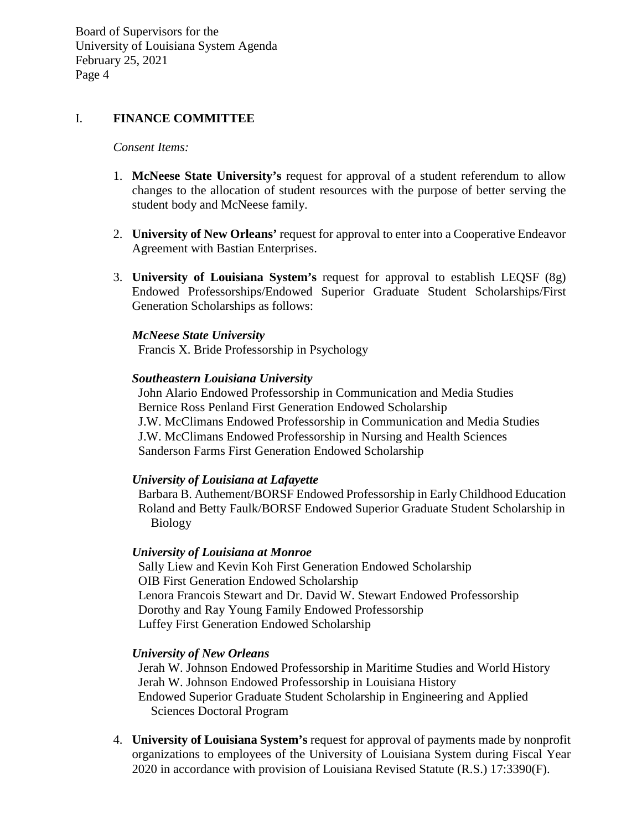### I. **FINANCE COMMITTEE**

#### *Consent Items:*

- 1. **McNeese State University's** request for approval of a student referendum to allow changes to the allocation of student resources with the purpose of better serving the student body and McNeese family.
- 2. **University of New Orleans'** request for approval to enter into a Cooperative Endeavor Agreement with Bastian Enterprises.
- 3. **University of Louisiana System's** request for approval to establish LEQSF (8g) Endowed Professorships/Endowed Superior Graduate Student Scholarships/First Generation Scholarships as follows:

#### *McNeese State University*

Francis X. Bride Professorship in Psychology

#### *Southeastern Louisiana University*

 John Alario Endowed Professorship in Communication and Media Studies Bernice Ross Penland First Generation Endowed Scholarship J.W. McClimans Endowed Professorship in Communication and Media Studies J.W. McClimans Endowed Professorship in Nursing and Health Sciences Sanderson Farms First Generation Endowed Scholarship

#### *University of Louisiana at Lafayette*

Barbara B. Authement/BORSF Endowed Professorship in Early Childhood Education Roland and Betty Faulk/BORSF Endowed Superior Graduate Student Scholarship in Biology

#### *University of Louisiana at Monroe*

 Sally Liew and Kevin Koh First Generation Endowed Scholarship OIB First Generation Endowed Scholarship Lenora Francois Stewart and Dr. David W. Stewart Endowed Professorship Dorothy and Ray Young Family Endowed Professorship Luffey First Generation Endowed Scholarship

#### *University of New Orleans*

 Jerah W. Johnson Endowed Professorship in Maritime Studies and World History Jerah W. Johnson Endowed Professorship in Louisiana History Endowed Superior Graduate Student Scholarship in Engineering and Applied Sciences Doctoral Program

4. **University of Louisiana System's** request for approval of payments made by nonprofit organizations to employees of the University of Louisiana System during Fiscal Year 2020 in accordance with provision of Louisiana Revised Statute (R.S.) 17:3390(F).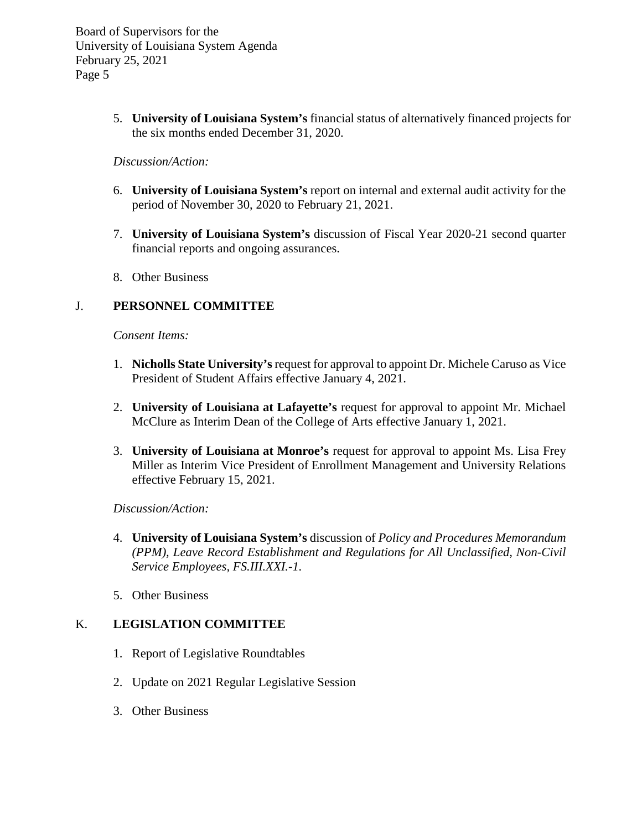> 5. **University of Louisiana System's** financial status of alternatively financed projects for the six months ended December 31, 2020.

### *Discussion/Action:*

- 6. **University of Louisiana System's** report on internal and external audit activity for the period of November 30, 2020 to February 21, 2021.
- 7. **University of Louisiana System's** discussion of Fiscal Year 2020-21 second quarter financial reports and ongoing assurances.
- 8. Other Business

# J. **PERSONNEL COMMITTEE**

*Consent Items:*

- 1. **Nicholls State University's** request for approval to appoint Dr. Michele Caruso as Vice President of Student Affairs effective January 4, 2021.
- 2. **University of Louisiana at Lafayette's** request for approval to appoint Mr. Michael McClure as Interim Dean of the College of Arts effective January 1, 2021.
- 3. **University of Louisiana at Monroe's** request for approval to appoint Ms. Lisa Frey Miller as Interim Vice President of Enrollment Management and University Relations effective February 15, 2021.

*Discussion/Action:*

- 4. **University of Louisiana System's** discussion of *Policy and Procedures Memorandum (PPM), Leave Record Establishment and Regulations for All Unclassified, Non-Civil Service Employees, FS.III.XXI.-1.*
- 5. Other Business

# K. **LEGISLATION COMMITTEE**

- 1. Report of Legislative Roundtables
- 2. Update on 2021 Regular Legislative Session
- 3. Other Business